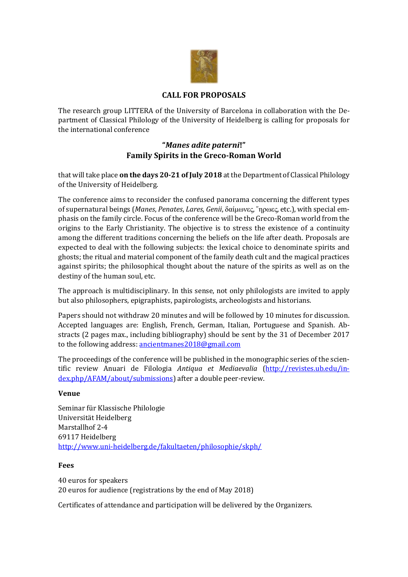

# **CALL FOR PROPOSALS**

The research group LITTERA of the University of Barcelona in collaboration with the Department of Classical Philology of the University of Heidelberg is calling for proposals for the international conference

# **"***Manes adite paterni***!" Family Spirits in the Greco-Roman World**

that will take place **on the days 20-21 of July 2018** at the Department of Classical Philology of the University of Heidelberg.

The conference aims to reconsider the confused panorama concerning the different types of supernatural beings (*Manes*, *Penates*, *Lares*, *Genii*, δαίμωνες, ῞ηρωες, etc.), with special emphasis on the family circle. Focus of the conference will be the Greco-Roman world from the origins to the Early Christianity. The objective is to stress the existence of a continuity among the different traditions concerning the beliefs on the life after death. Proposals are expected to deal with the following subjects: the lexical choice to denominate spirits and ghosts; the ritual and material component of the family death cult and the magical practices against spirits; the philosophical thought about the nature of the spirits as well as on the destiny of the human soul, etc.

The approach is multidisciplinary. In this sense, not only philologists are invited to apply but also philosophers, epigraphists, papirologists, archeologists and historians.

Papers should not withdraw 20 minutes and will be followed by 10 minutes for discussion. Accepted languages are: English, French, German, Italian, Portuguese and Spanish. Abstracts (2 pages max., including bibliography) should be sent by the 31 of December 2017 to the following address[: ancientmanes2018@gmail.com](mailto:ancientmanes@gmail.com)

The proceedings of the conference will be published in the monographic series of the scientific review Anuari de Filologia *Antiqua et Mediaevalia* [\(http://revistes.ub.edu/in](http://revistes.ub.edu/index.php/AFAM/about/submissions)[dex.php/AFAM/about/submissions\)](http://revistes.ub.edu/index.php/AFAM/about/submissions) after a double peer-review.

#### **Venue**

Seminar für Klassische Philologie Universität Heidelberg Marstallhof 2-4 69117 Heidelberg <http://www.uni-heidelberg.de/fakultaeten/philosophie/skph/>

#### **Fees**

40 euros for speakers 20 euros for audience (registrations by the end of May 2018)

Certificates of attendance and participation will be delivered by the Organizers.